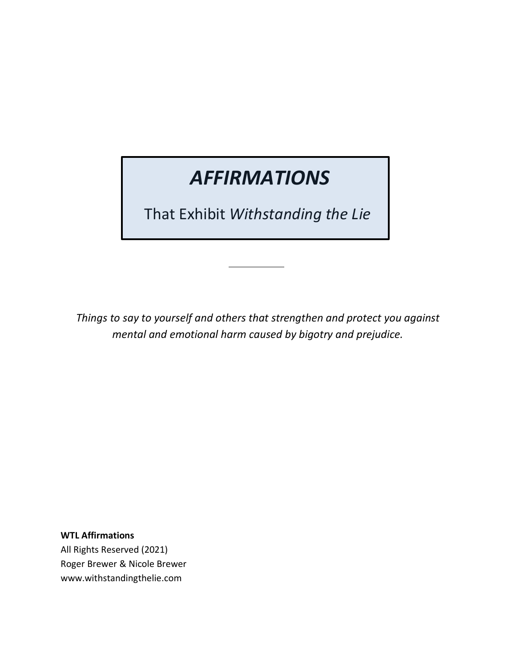# *AFFIRMATIONS*

That Exhibit *Withstanding the Lie*

*Things to say to yourself and others that strengthen and protect you against mental and emotional harm caused by bigotry and prejudice.*

**WTL Affirmations** All Rights Reserved (2021) Roger Brewer & Nicole Brewer www.withstandingthelie.com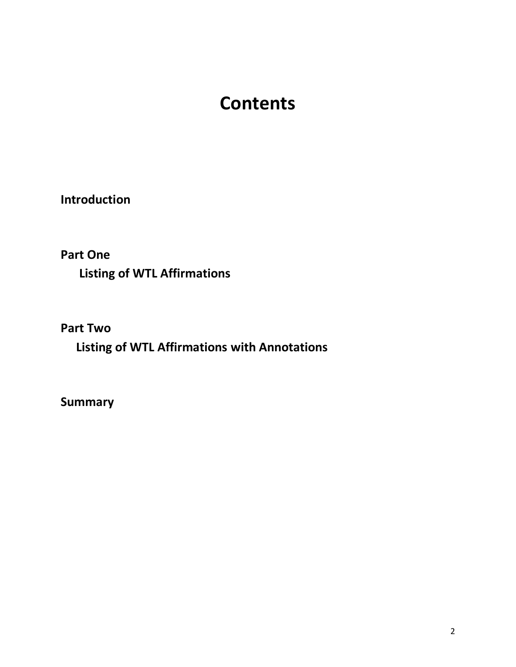# **Contents**

**Introduction**

**Part One** 

 **Listing of WTL Affirmations**

**Part Two** 

 **Listing of WTL Affirmations with Annotations**

**Summary**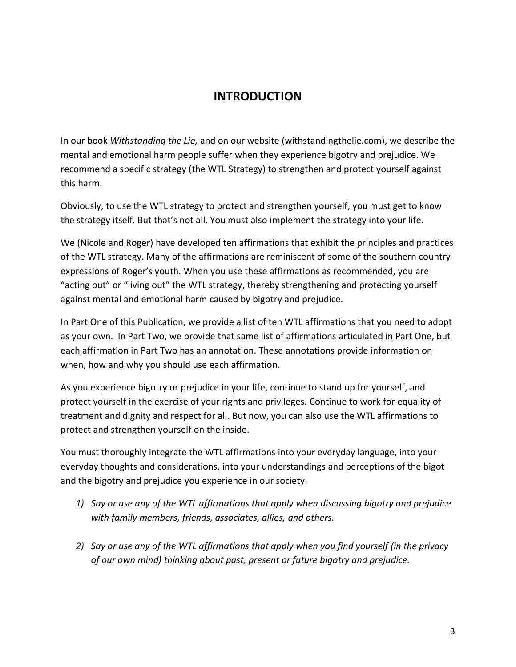#### **INTRODUCTION**

In our book *Withstanding the Lie,* and on our website (withstandingthelie.com), we describe the mental and emotional harm people suffer when they experience bigotry and prejudice. We recommend a specific strategy (the WTL Strategy) to strengthen and protect yourself against this harm.

Obviously, to use the WTL strategy to protect and strengthen yourself, you must get to know the strategy itself. But that's not all. You must also implement the strategy into your life.

We (Nicole and Roger) have developed ten affirmations that exhibit the principles and practices of the WTL strategy. Many of the affirmations are reminiscent of some of the southern country expressions of Roger's youth. When you use these affirmations as recommended, you are "acting out" or "living out" the WTL strategy, thereby strengthening and protecting yourself against mental and emotional harm caused by bigotry and prejudice.

In Part One of this Publication, we provide a list of ten WTL affirmations that you need to adopt as your own. In Part Two, we provide that same list of affirmations articulated in Part One, but each affirmation in Part Two has an annotation. These annotations provide information on when, how and why you should use each affirmation.

As you experience bigotry or prejudice in your life, continue to stand up for yourself, and protect yourself in the exercise of your rights and privileges. Continue to work for equality of treatment and dignity and respect for all. But now, you can also use the WTL affirmations to protect and strengthen yourself on the inside.

You must thoroughly integrate the WTL affirmations into your everyday language, into your everyday thoughts and considerations, into your understandings and perceptions of the bigot and the bigotry and prejudice you experience in our society.

- *1) Say or use any of the WTL affirmations that apply when discussing bigotry and prejudice with family members, friends, associates, allies, and others.*
- *2) Say or use any of the WTL affirmations that apply when you find yourself (in the privacy of our own mind) thinking about past, present or future bigotry and prejudice.*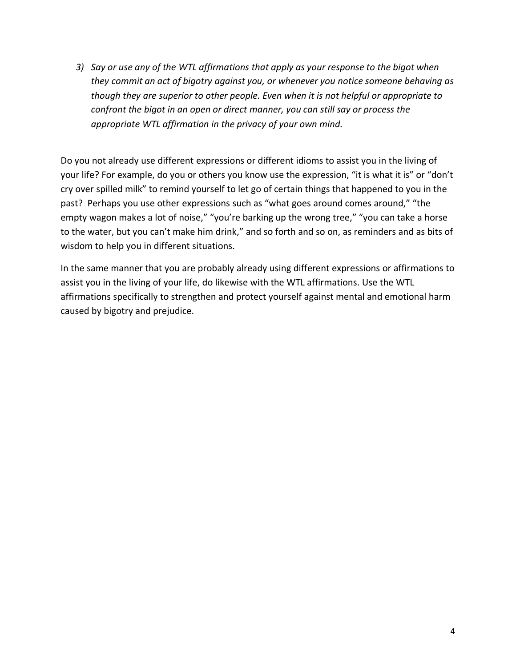*3) Say or use any of the WTL affirmations that apply as your response to the bigot when they commit an act of bigotry against you, or whenever you notice someone behaving as though they are superior to other people. Even when it is not helpful or appropriate to confront the bigot in an open or direct manner, you can still say or process the appropriate WTL affirmation in the privacy of your own mind.* 

Do you not already use different expressions or different idioms to assist you in the living of your life? For example, do you or others you know use the expression, "it is what it is" or "don't cry over spilled milk" to remind yourself to let go of certain things that happened to you in the past? Perhaps you use other expressions such as "what goes around comes around," "the empty wagon makes a lot of noise," "you're barking up the wrong tree," "you can take a horse to the water, but you can't make him drink," and so forth and so on, as reminders and as bits of wisdom to help you in different situations.

In the same manner that you are probably already using different expressions or affirmations to assist you in the living of your life, do likewise with the WTL affirmations. Use the WTL affirmations specifically to strengthen and protect yourself against mental and emotional harm caused by bigotry and prejudice.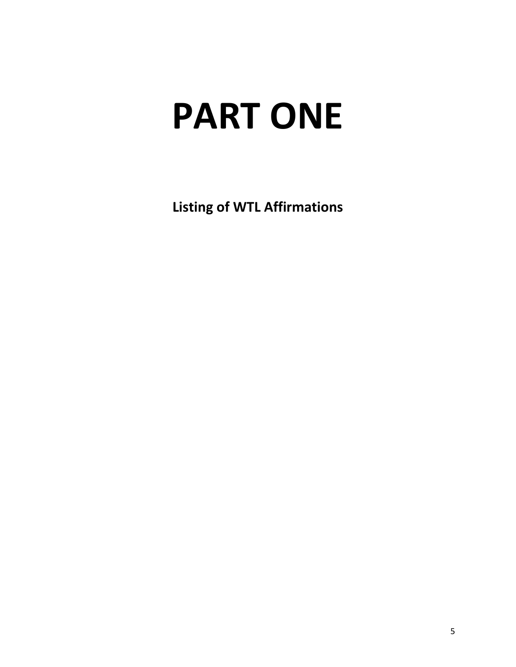# **PART ONE**

**Listing of WTL Affirmations**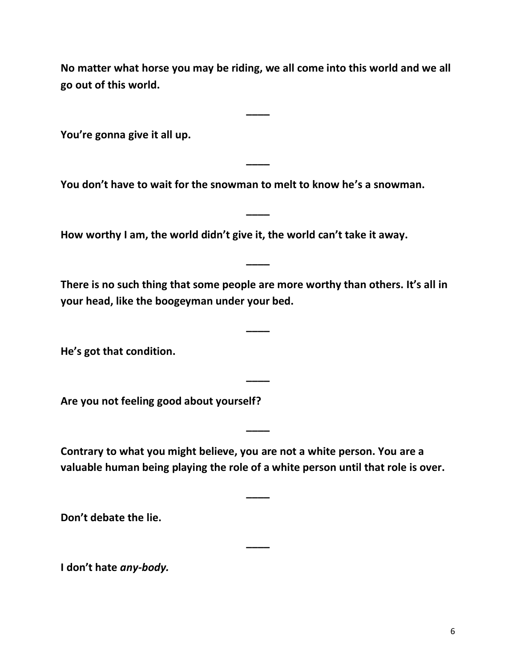**No matter what horse you may be riding, we all come into this world and we all go out of this world.**

**\_\_\_\_**

**\_\_\_\_**

**\_\_\_\_**

**You're gonna give it all up.**

**You don't have to wait for the snowman to melt to know he's a snowman.**

**How worthy I am, the world didn't give it, the world can't take it away.**

**There is no such thing that some people are more worthy than others. It's all in your head, like the boogeyman under your bed.** 

**\_\_\_\_**

**\_\_\_\_**

**\_\_\_\_**

**\_\_\_\_**

**He's got that condition.** 

**Are you not feeling good about yourself?**

**Contrary to what you might believe, you are not a white person. You are a valuable human being playing the role of a white person until that role is over.**

**\_\_\_\_**

**\_\_\_\_**

**Don't debate the lie.**

**I don't hate** *any-body.*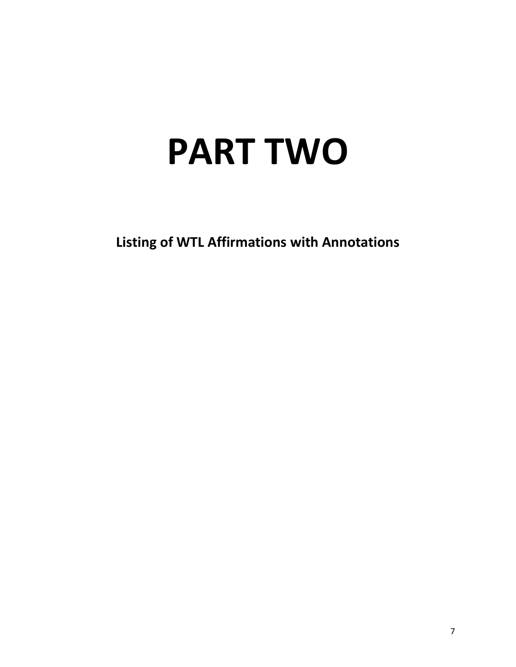# **PART TWO**

**Listing of WTL Affirmations with Annotations**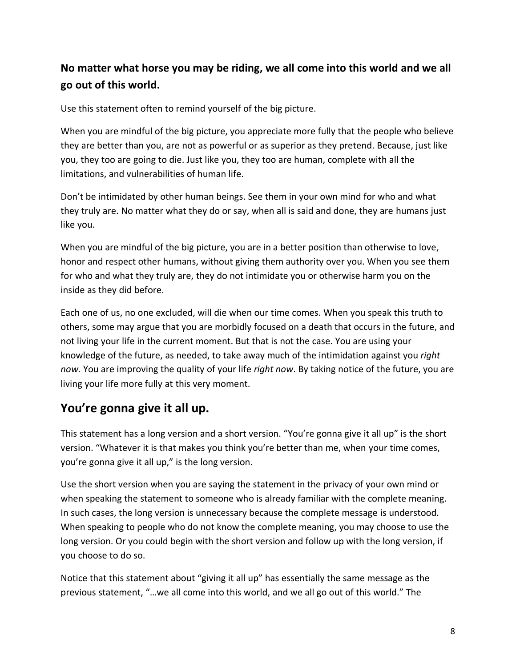### **No matter what horse you may be riding, we all come into this world and we all go out of this world.**

Use this statement often to remind yourself of the big picture.

When you are mindful of the big picture, you appreciate more fully that the people who believe they are better than you, are not as powerful or as superior as they pretend. Because, just like you, they too are going to die. Just like you, they too are human, complete with all the limitations, and vulnerabilities of human life.

Don't be intimidated by other human beings. See them in your own mind for who and what they truly are. No matter what they do or say, when all is said and done, they are humans just like you.

When you are mindful of the big picture, you are in a better position than otherwise to love, honor and respect other humans, without giving them authority over you. When you see them for who and what they truly are, they do not intimidate you or otherwise harm you on the inside as they did before.

Each one of us, no one excluded, will die when our time comes. When you speak this truth to others, some may argue that you are morbidly focused on a death that occurs in the future, and not living your life in the current moment. But that is not the case. You are using your knowledge of the future, as needed, to take away much of the intimidation against you *right now.* You are improving the quality of your life *right now*. By taking notice of the future, you are living your life more fully at this very moment.

### **You're gonna give it all up.**

This statement has a long version and a short version. "You're gonna give it all up" is the short version. "Whatever it is that makes you think you're better than me, when your time comes, you're gonna give it all up," is the long version.

Use the short version when you are saying the statement in the privacy of your own mind or when speaking the statement to someone who is already familiar with the complete meaning. In such cases, the long version is unnecessary because the complete message is understood. When speaking to people who do not know the complete meaning, you may choose to use the long version. Or you could begin with the short version and follow up with the long version, if you choose to do so.

Notice that this statement about "giving it all up" has essentially the same message as the previous statement, "…we all come into this world, and we all go out of this world." The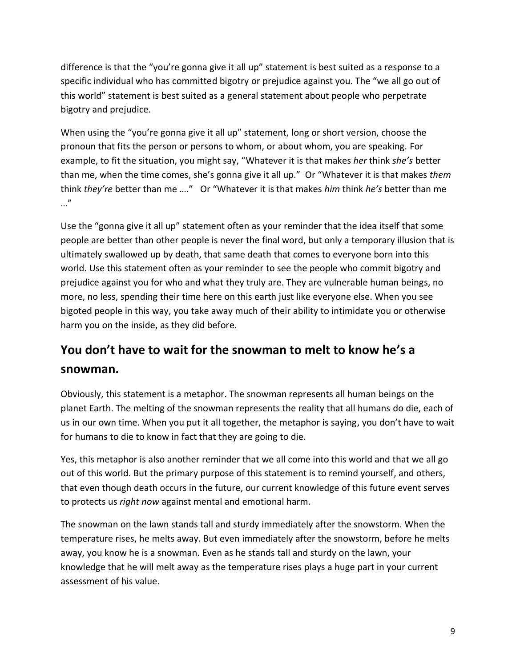difference is that the "you're gonna give it all up" statement is best suited as a response to a specific individual who has committed bigotry or prejudice against you. The "we all go out of this world" statement is best suited as a general statement about people who perpetrate bigotry and prejudice.

When using the "you're gonna give it all up" statement, long or short version, choose the pronoun that fits the person or persons to whom, or about whom, you are speaking. For example, to fit the situation, you might say, "Whatever it is that makes *her* think *she's* better than me, when the time comes, she's gonna give it all up." Or "Whatever it is that makes *them*  think *they're* better than me …." Or "Whatever it is that makes *him* think *he's* better than me …"

Use the "gonna give it all up" statement often as your reminder that the idea itself that some people are better than other people is never the final word, but only a temporary illusion that is ultimately swallowed up by death, that same death that comes to everyone born into this world. Use this statement often as your reminder to see the people who commit bigotry and prejudice against you for who and what they truly are. They are vulnerable human beings, no more, no less, spending their time here on this earth just like everyone else. When you see bigoted people in this way, you take away much of their ability to intimidate you or otherwise harm you on the inside, as they did before.

# **You don't have to wait for the snowman to melt to know he's a snowman.**

Obviously, this statement is a metaphor. The snowman represents all human beings on the planet Earth. The melting of the snowman represents the reality that all humans do die, each of us in our own time. When you put it all together, the metaphor is saying, you don't have to wait for humans to die to know in fact that they are going to die.

Yes, this metaphor is also another reminder that we all come into this world and that we all go out of this world. But the primary purpose of this statement is to remind yourself, and others, that even though death occurs in the future, our current knowledge of this future event serves to protects us *right now* against mental and emotional harm.

The snowman on the lawn stands tall and sturdy immediately after the snowstorm. When the temperature rises, he melts away. But even immediately after the snowstorm, before he melts away, you know he is a snowman. Even as he stands tall and sturdy on the lawn, your knowledge that he will melt away as the temperature rises plays a huge part in your current assessment of his value.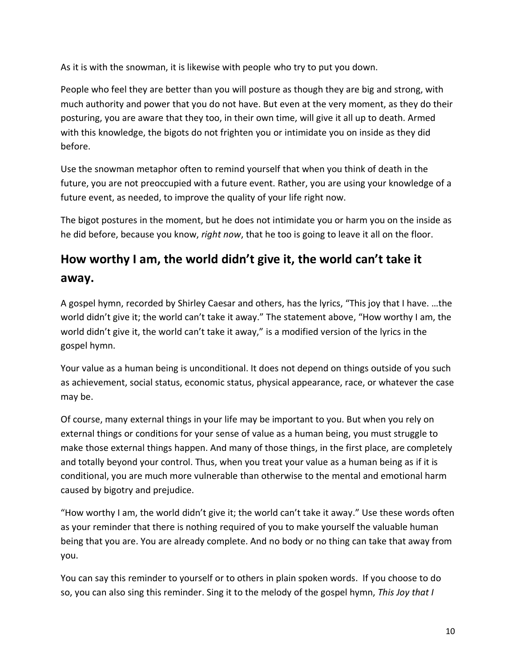As it is with the snowman, it is likewise with people who try to put you down.

People who feel they are better than you will posture as though they are big and strong, with much authority and power that you do not have. But even at the very moment, as they do their posturing, you are aware that they too, in their own time, will give it all up to death. Armed with this knowledge, the bigots do not frighten you or intimidate you on inside as they did before.

Use the snowman metaphor often to remind yourself that when you think of death in the future, you are not preoccupied with a future event. Rather, you are using your knowledge of a future event, as needed, to improve the quality of your life right now.

The bigot postures in the moment, but he does not intimidate you or harm you on the inside as he did before, because you know, *right now*, that he too is going to leave it all on the floor.

# **How worthy I am, the world didn't give it, the world can't take it**

#### **away.**

A gospel hymn, recorded by Shirley Caesar and others, has the lyrics, "This joy that I have. …the world didn't give it; the world can't take it away." The statement above, "How worthy I am, the world didn't give it, the world can't take it away," is a modified version of the lyrics in the gospel hymn.

Your value as a human being is unconditional. It does not depend on things outside of you such as achievement, social status, economic status, physical appearance, race, or whatever the case may be.

Of course, many external things in your life may be important to you. But when you rely on external things or conditions for your sense of value as a human being, you must struggle to make those external things happen. And many of those things, in the first place, are completely and totally beyond your control. Thus, when you treat your value as a human being as if it is conditional, you are much more vulnerable than otherwise to the mental and emotional harm caused by bigotry and prejudice.

"How worthy I am, the world didn't give it; the world can't take it away." Use these words often as your reminder that there is nothing required of you to make yourself the valuable human being that you are. You are already complete. And no body or no thing can take that away from you.

You can say this reminder to yourself or to others in plain spoken words. If you choose to do so, you can also sing this reminder. Sing it to the melody of the gospel hymn, *This Joy that I*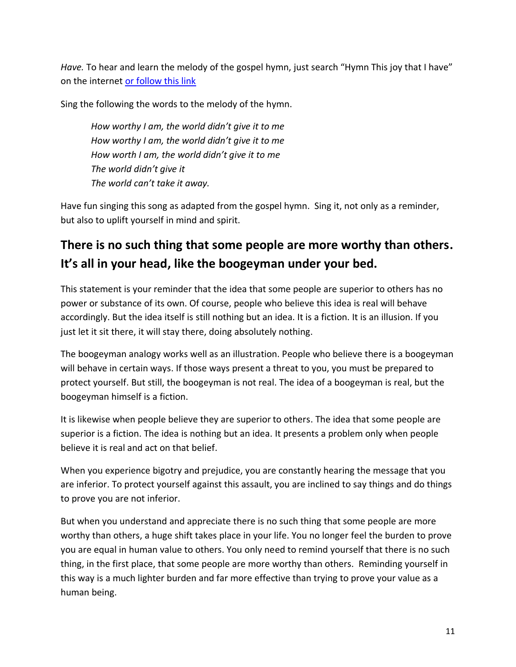*Have.* To hear and learn the melody of the gospel hymn, just search "Hymn This joy that I have" on the internet [or follow this link](https://www.youtube.com/watch?v=ddNsOk14ggc)

Sing the following the words to the melody of the hymn.

*How worthy I am, the world didn't give it to me How worthy I am, the world didn't give it to me How worth I am, the world didn't give it to me The world didn't give it The world can't take it away.*

Have fun singing this song as adapted from the gospel hymn. Sing it, not only as a reminder, but also to uplift yourself in mind and spirit.

# **There is no such thing that some people are more worthy than others. It's all in your head, like the boogeyman under your bed.**

This statement is your reminder that the idea that some people are superior to others has no power or substance of its own. Of course, people who believe this idea is real will behave accordingly. But the idea itself is still nothing but an idea. It is a fiction. It is an illusion. If you just let it sit there, it will stay there, doing absolutely nothing.

The boogeyman analogy works well as an illustration. People who believe there is a boogeyman will behave in certain ways. If those ways present a threat to you, you must be prepared to protect yourself. But still, the boogeyman is not real. The idea of a boogeyman is real, but the boogeyman himself is a fiction.

It is likewise when people believe they are superior to others. The idea that some people are superior is a fiction. The idea is nothing but an idea. It presents a problem only when people believe it is real and act on that belief.

When you experience bigotry and prejudice, you are constantly hearing the message that you are inferior. To protect yourself against this assault, you are inclined to say things and do things to prove you are not inferior.

But when you understand and appreciate there is no such thing that some people are more worthy than others, a huge shift takes place in your life. You no longer feel the burden to prove you are equal in human value to others. You only need to remind yourself that there is no such thing, in the first place, that some people are more worthy than others. Reminding yourself in this way is a much lighter burden and far more effective than trying to prove your value as a human being.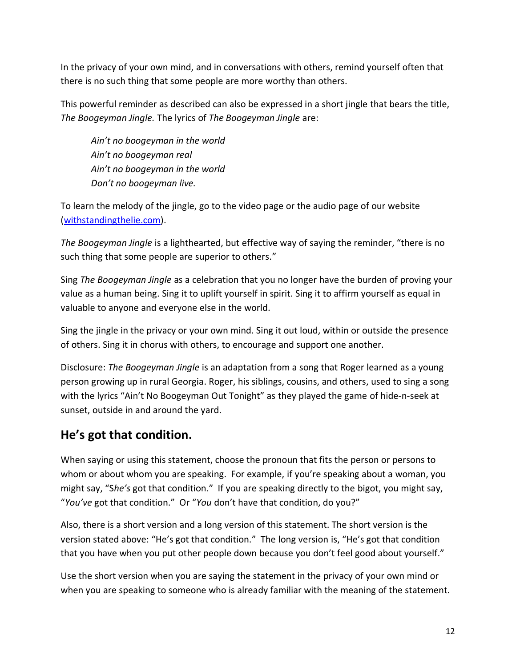In the privacy of your own mind, and in conversations with others, remind yourself often that there is no such thing that some people are more worthy than others.

This powerful reminder as described can also be expressed in a short jingle that bears the title, *The Boogeyman Jingle.* The lyrics of *The Boogeyman Jingle* are:

*Ain't no boogeyman in the world Ain't no boogeyman real Ain't no boogeyman in the world Don't no boogeyman live.*

To learn the melody of the jingle, go to the video page or the audio page of our website [\(withstandingthelie.com\)](https://www.withstandingthelie.com/audio.html).

*The Boogeyman Jingle* is a lighthearted, but effective way of saying the reminder, "there is no such thing that some people are superior to others."

Sing *The Boogeyman Jingle* as a celebration that you no longer have the burden of proving your value as a human being. Sing it to uplift yourself in spirit. Sing it to affirm yourself as equal in valuable to anyone and everyone else in the world.

Sing the jingle in the privacy or your own mind. Sing it out loud, within or outside the presence of others. Sing it in chorus with others, to encourage and support one another.

Disclosure: *The Boogeyman Jingle* is an adaptation from a song that Roger learned as a young person growing up in rural Georgia. Roger, his siblings, cousins, and others, used to sing a song with the lyrics "Ain't No Boogeyman Out Tonight" as they played the game of hide-n-seek at sunset, outside in and around the yard.

## **He's got that condition.**

When saying or using this statement, choose the pronoun that fits the person or persons to whom or about whom you are speaking. For example, if you're speaking about a woman, you might say, "S*he's* got that condition." If you are speaking directly to the bigot, you might say, "*You've* got that condition." Or "*You* don't have that condition, do you?"

Also, there is a short version and a long version of this statement. The short version is the version stated above: "He's got that condition." The long version is, "He's got that condition that you have when you put other people down because you don't feel good about yourself."

Use the short version when you are saying the statement in the privacy of your own mind or when you are speaking to someone who is already familiar with the meaning of the statement.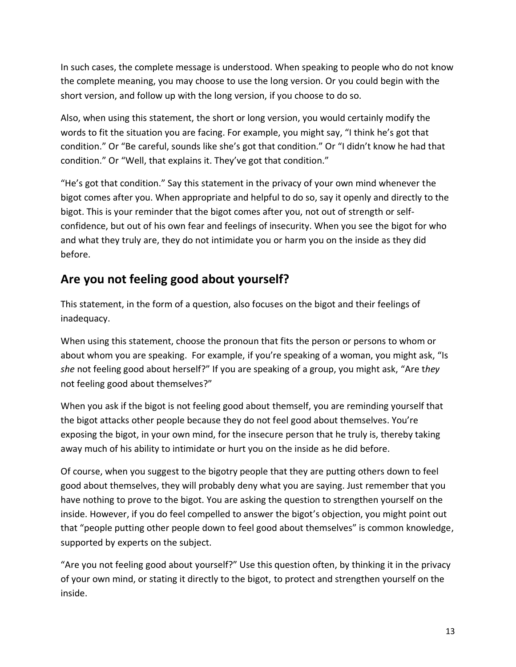In such cases, the complete message is understood. When speaking to people who do not know the complete meaning, you may choose to use the long version. Or you could begin with the short version, and follow up with the long version, if you choose to do so.

Also, when using this statement, the short or long version, you would certainly modify the words to fit the situation you are facing. For example, you might say, "I think he's got that condition." Or "Be careful, sounds like she's got that condition." Or "I didn't know he had that condition." Or "Well, that explains it. They've got that condition."

"He's got that condition." Say this statement in the privacy of your own mind whenever the bigot comes after you. When appropriate and helpful to do so, say it openly and directly to the bigot. This is your reminder that the bigot comes after you, not out of strength or selfconfidence, but out of his own fear and feelings of insecurity. When you see the bigot for who and what they truly are, they do not intimidate you or harm you on the inside as they did before.

## **Are you not feeling good about yourself?**

This statement, in the form of a question, also focuses on the bigot and their feelings of inadequacy.

When using this statement, choose the pronoun that fits the person or persons to whom or about whom you are speaking. For example, if you're speaking of a woman, you might ask, "Is *she* not feeling good about herself?" If you are speaking of a group, you might ask, "Are t*hey* not feeling good about themselves?"

When you ask if the bigot is not feeling good about themself, you are reminding yourself that the bigot attacks other people because they do not feel good about themselves. You're exposing the bigot, in your own mind, for the insecure person that he truly is, thereby taking away much of his ability to intimidate or hurt you on the inside as he did before.

Of course, when you suggest to the bigotry people that they are putting others down to feel good about themselves, they will probably deny what you are saying. Just remember that you have nothing to prove to the bigot. You are asking the question to strengthen yourself on the inside. However, if you do feel compelled to answer the bigot's objection, you might point out that "people putting other people down to feel good about themselves" is common knowledge, supported by experts on the subject.

"Are you not feeling good about yourself?" Use this question often, by thinking it in the privacy of your own mind, or stating it directly to the bigot, to protect and strengthen yourself on the inside.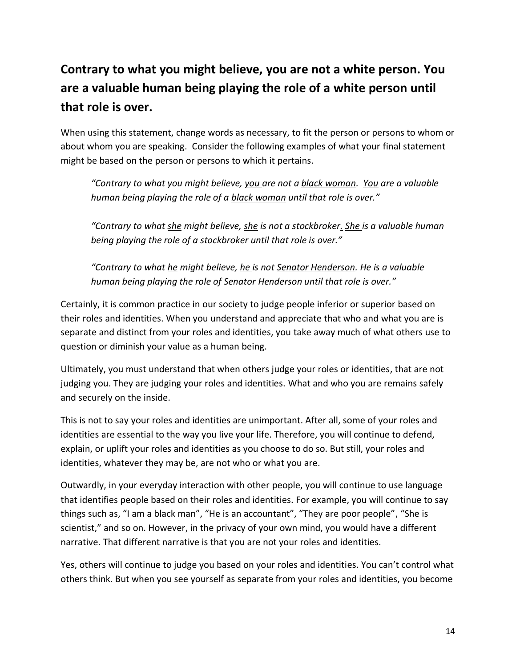# **Contrary to what you might believe, you are not a white person. You are a valuable human being playing the role of a white person until that role is over.**

When using this statement, change words as necessary, to fit the person or persons to whom or about whom you are speaking. Consider the following examples of what your final statement might be based on the person or persons to which it pertains.

*"Contrary to what you might believe, you are not a black woman. You are a valuable human being playing the role of a black woman until that role is over."*

*"Contrary to what she might believe, she is not a stockbroker. She is a valuable human being playing the role of a stockbroker until that role is over."*

*"Contrary to what he might believe, he is not Senator Henderson. He is a valuable human being playing the role of Senator Henderson until that role is over."*

Certainly, it is common practice in our society to judge people inferior or superior based on their roles and identities. When you understand and appreciate that who and what you are is separate and distinct from your roles and identities, you take away much of what others use to question or diminish your value as a human being.

Ultimately, you must understand that when others judge your roles or identities, that are not judging you. They are judging your roles and identities. What and who you are remains safely and securely on the inside.

This is not to say your roles and identities are unimportant. After all, some of your roles and identities are essential to the way you live your life. Therefore, you will continue to defend, explain, or uplift your roles and identities as you choose to do so. But still, your roles and identities, whatever they may be, are not who or what you are.

Outwardly, in your everyday interaction with other people, you will continue to use language that identifies people based on their roles and identities. For example, you will continue to say things such as, "I am a black man", "He is an accountant", "They are poor people", "She is scientist," and so on. However, in the privacy of your own mind, you would have a different narrative. That different narrative is that you are not your roles and identities.

Yes, others will continue to judge you based on your roles and identities. You can't control what others think. But when you see yourself as separate from your roles and identities, you become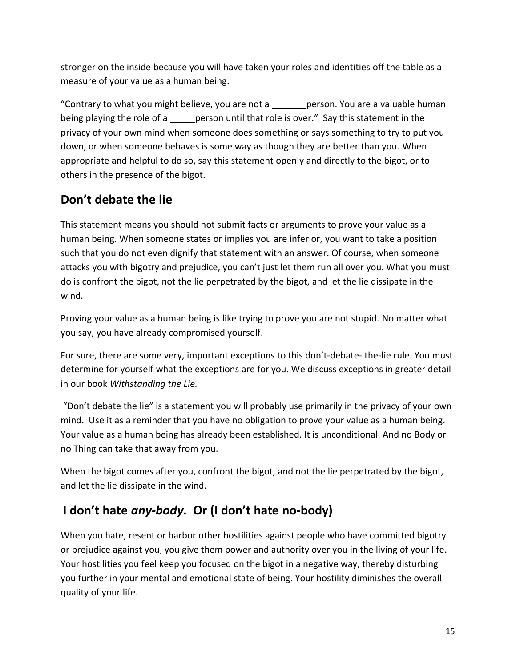stronger on the inside because you will have taken your roles and identities off the table as a measure of your value as a human being.

"Contrary to what you might believe, you are not a \_\_\_\_\_\_\_ person. You are a valuable human being playing the role of a <u>person</u> until that role is over." Say this statement in the privacy of your own mind when someone does something or says something to try to put you down, or when someone behaves is some way as though they are better than you. When appropriate and helpful to do so, say this statement openly and directly to the bigot, or to others in the presence of the bigot.

## **Don't debate the lie**

This statement means you should not submit facts or arguments to prove your value as a human being. When someone states or implies you are inferior, you want to take a position such that you do not even dignify that statement with an answer. Of course, when someone attacks you with bigotry and prejudice, you can't just let them run all over you. What you must do is confront the bigot, not the lie perpetrated by the bigot, and let the lie dissipate in the wind.

Proving your value as a human being is like trying to prove you are not stupid. No matter what you say, you have already compromised yourself.

For sure, there are some very, important exceptions to this don't-debate- the-lie rule. You must determine for yourself what the exceptions are for you. We discuss exceptions in greater detail in our book *Withstanding the Lie.* 

"Don't debate the lie" is a statement you will probably use primarily in the privacy of your own mind. Use it as a reminder that you have no obligation to prove your value as a human being. Your value as a human being has already been established. It is unconditional. And no Body or no Thing can take that away from you.

When the bigot comes after you, confront the bigot, and not the lie perpetrated by the bigot, and let the lie dissipate in the wind.

## **I don't hate** *any-body.* **Or (I don't hate no-body)**

When you hate, resent or harbor other hostilities against people who have committed bigotry or prejudice against you, you give them power and authority over you in the living of your life. Your hostilities you feel keep you focused on the bigot in a negative way, thereby disturbing you further in your mental and emotional state of being. Your hostility diminishes the overall quality of your life.